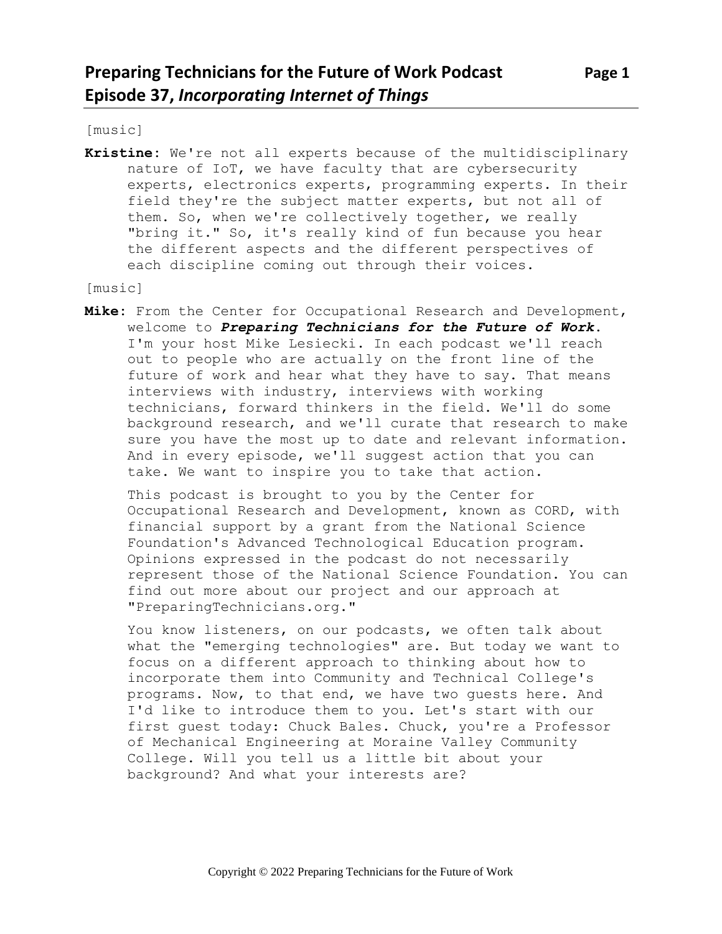[music]

**Kristine:** We're not all experts because of the multidisciplinary nature of IoT, we have faculty that are cybersecurity experts, electronics experts, programming experts. In their field they're the subject matter experts, but not all of them. So, when we're collectively together, we really "bring it." So, it's really kind of fun because you hear the different aspects and the different perspectives of each discipline coming out through their voices.

[music]

**Mike:** From the Center for Occupational Research and Development, welcome to *Preparing Technicians for the Future of Work*. I'm your host Mike Lesiecki. In each podcast we'll reach out to people who are actually on the front line of the future of work and hear what they have to say. That means interviews with industry, interviews with working technicians, forward thinkers in the field. We'll do some background research, and we'll curate that research to make sure you have the most up to date and relevant information. And in every episode, we'll suggest action that you can take. We want to inspire you to take that action.

This podcast is brought to you by the Center for Occupational Research and Development, known as CORD, with financial support by a grant from the National Science Foundation's Advanced Technological Education program. Opinions expressed in the podcast do not necessarily represent those of the National Science Foundation. You can find out more about our project and our approach at "PreparingTechnicians.org."

You know listeners, on our podcasts, we often talk about what the "emerging technologies" are. But today we want to focus on a different approach to thinking about how to incorporate them into Community and Technical College's programs. Now, to that end, we have two guests here. And I'd like to introduce them to you. Let's start with our first guest today: Chuck Bales. Chuck, you're a Professor of Mechanical Engineering at Moraine Valley Community College. Will you tell us a little bit about your background? And what your interests are?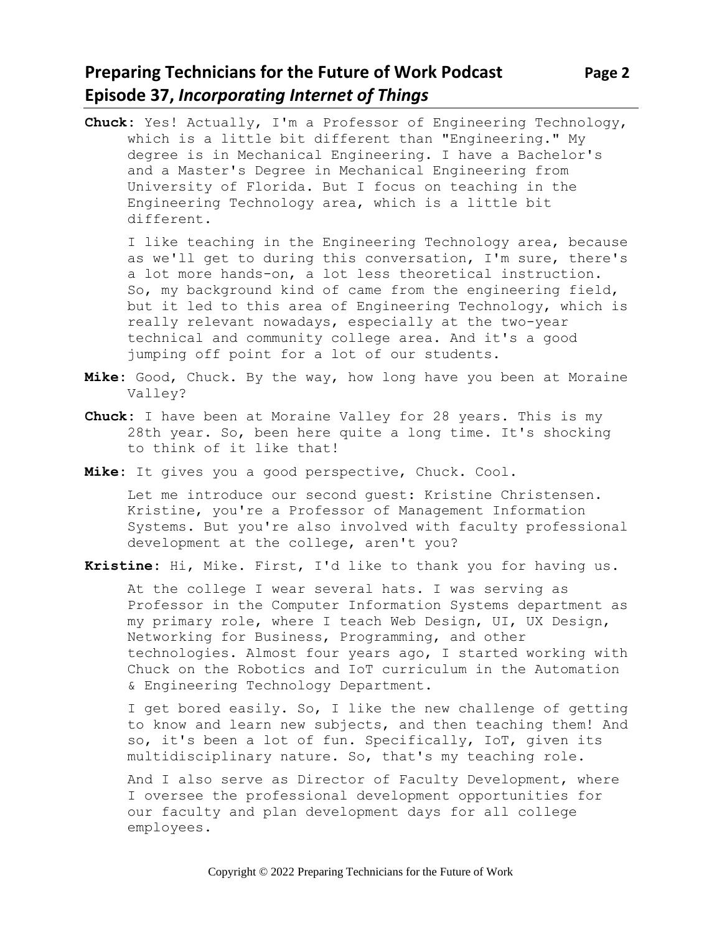### **Preparing Technicians for the Future of Work Podcast Page 2 Episode 37,** *Incorporating Internet of Things*

**Chuck:** Yes! Actually, I'm a Professor of Engineering Technology, which is a little bit different than "Engineering." My degree is in Mechanical Engineering. I have a Bachelor's and a Master's Degree in Mechanical Engineering from University of Florida. But I focus on teaching in the Engineering Technology area, which is a little bit different.

I like teaching in the Engineering Technology area, because as we'll get to during this conversation, I'm sure, there's a lot more hands-on, a lot less theoretical instruction. So, my background kind of came from the engineering field, but it led to this area of Engineering Technology, which is really relevant nowadays, especially at the two-year technical and community college area. And it's a good jumping off point for a lot of our students.

- **Mike:** Good, Chuck. By the way, how long have you been at Moraine Valley?
- **Chuck:** I have been at Moraine Valley for 28 years. This is my 28th year. So, been here quite a long time. It's shocking to think of it like that!
- **Mike:** It gives you a good perspective, Chuck. Cool.

Let me introduce our second guest: Kristine Christensen. Kristine, you're a Professor of Management Information Systems. But you're also involved with faculty professional development at the college, aren't you?

**Kristine:** Hi, Mike. First, I'd like to thank you for having us.

At the college I wear several hats. I was serving as Professor in the Computer Information Systems department as my primary role, where I teach Web Design, UI, UX Design, Networking for Business, Programming, and other technologies. Almost four years ago, I started working with Chuck on the Robotics and IoT curriculum in the Automation & Engineering Technology Department.

I get bored easily. So, I like the new challenge of getting to know and learn new subjects, and then teaching them! And so, it's been a lot of fun. Specifically, IoT, given its multidisciplinary nature. So, that's my teaching role.

And I also serve as Director of Faculty Development, where I oversee the professional development opportunities for our faculty and plan development days for all college employees.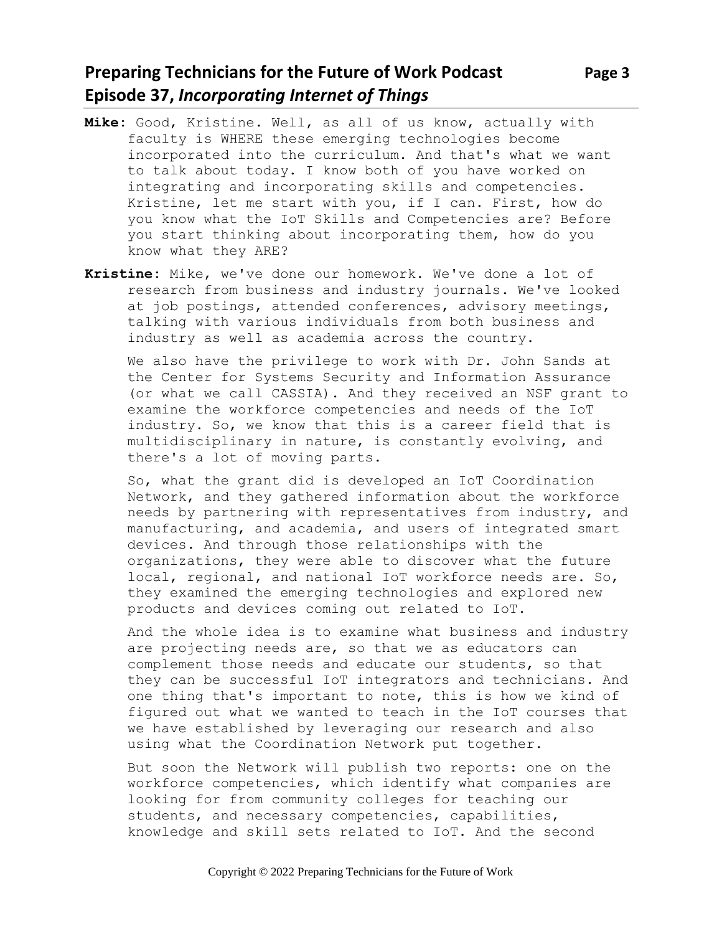# **Preparing Technicians for the Future of Work Podcast** Page 3 **Episode 37,** *Incorporating Internet of Things*

- **Mike:** Good, Kristine. Well, as all of us know, actually with faculty is WHERE these emerging technologies become incorporated into the curriculum. And that's what we want to talk about today. I know both of you have worked on integrating and incorporating skills and competencies. Kristine, let me start with you, if I can. First, how do you know what the IoT Skills and Competencies are? Before you start thinking about incorporating them, how do you know what they ARE?
- **Kristine:** Mike, we've done our homework. We've done a lot of research from business and industry journals. We've looked at job postings, attended conferences, advisory meetings, talking with various individuals from both business and industry as well as academia across the country.

We also have the privilege to work with Dr. John Sands at the Center for Systems Security and Information Assurance (or what we call CASSIA). And they received an NSF grant to examine the workforce competencies and needs of the IoT industry. So, we know that this is a career field that is multidisciplinary in nature, is constantly evolving, and there's a lot of moving parts.

So, what the grant did is developed an IoT Coordination Network, and they gathered information about the workforce needs by partnering with representatives from industry, and manufacturing, and academia, and users of integrated smart devices. And through those relationships with the organizations, they were able to discover what the future local, regional, and national IoT workforce needs are. So, they examined the emerging technologies and explored new products and devices coming out related to IoT.

And the whole idea is to examine what business and industry are projecting needs are, so that we as educators can complement those needs and educate our students, so that they can be successful IoT integrators and technicians. And one thing that's important to note, this is how we kind of figured out what we wanted to teach in the IoT courses that we have established by leveraging our research and also using what the Coordination Network put together.

But soon the Network will publish two reports: one on the workforce competencies, which identify what companies are looking for from community colleges for teaching our students, and necessary competencies, capabilities, knowledge and skill sets related to IoT. And the second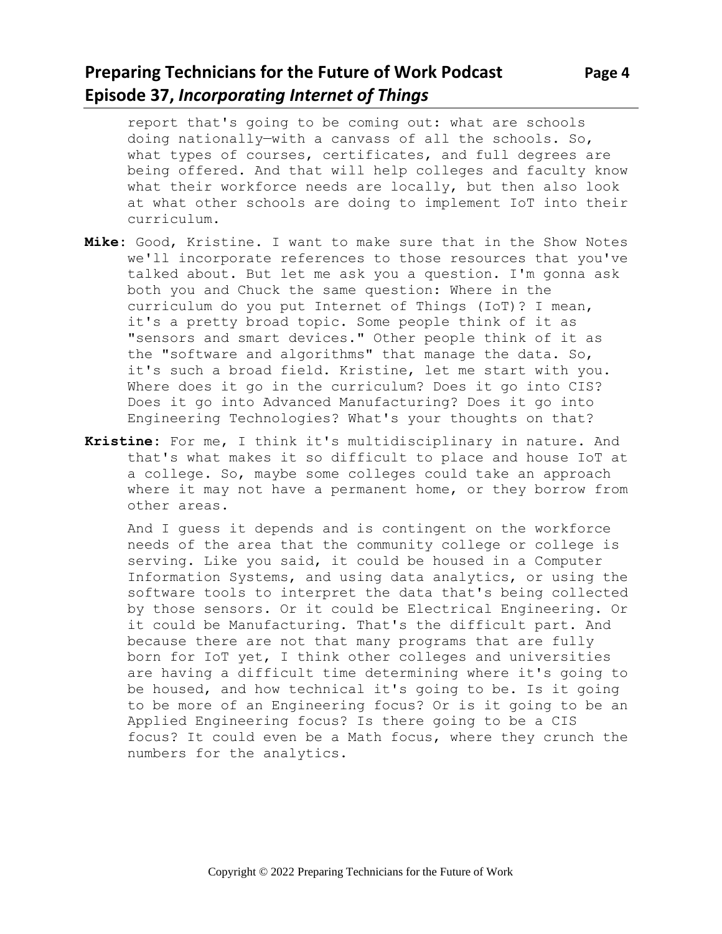# **Preparing Technicians for the Future of Work Podcast Page 4 Episode 37,** *Incorporating Internet of Things*

what types of courses, certificates, and full degrees are being offered. And that will help colleges and faculty know what their workforce needs are locally, but then also look at what other schools are doing to implement IoT into their curriculum.

- **Mike:** Good, Kristine. I want to make sure that in the Show Notes we'll incorporate references to those resources that you've talked about. But let me ask you a question. I'm gonna ask both you and Chuck the same question: Where in the curriculum do you put Internet of Things (IoT)? I mean, it's a pretty broad topic. Some people think of it as "sensors and smart devices." Other people think of it as the "software and algorithms" that manage the data. So, it's such a broad field. Kristine, let me start with you. Where does it go in the curriculum? Does it go into CIS? Does it go into Advanced Manufacturing? Does it go into Engineering Technologies? What's your thoughts on that?
- **Kristine:** For me, I think it's multidisciplinary in nature. And that's what makes it so difficult to place and house IoT at a college. So, maybe some colleges could take an approach where it may not have a permanent home, or they borrow from other areas.

And I guess it depends and is contingent on the workforce needs of the area that the community college or college is serving. Like you said, it could be housed in a Computer Information Systems, and using data analytics, or using the software tools to interpret the data that's being collected by those sensors. Or it could be Electrical Engineering. Or it could be Manufacturing. That's the difficult part. And because there are not that many programs that are fully born for IoT yet, I think other colleges and universities are having a difficult time determining where it's going to be housed, and how technical it's going to be. Is it going to be more of an Engineering focus? Or is it going to be an Applied Engineering focus? Is there going to be a CIS focus? It could even be a Math focus, where they crunch the numbers for the analytics.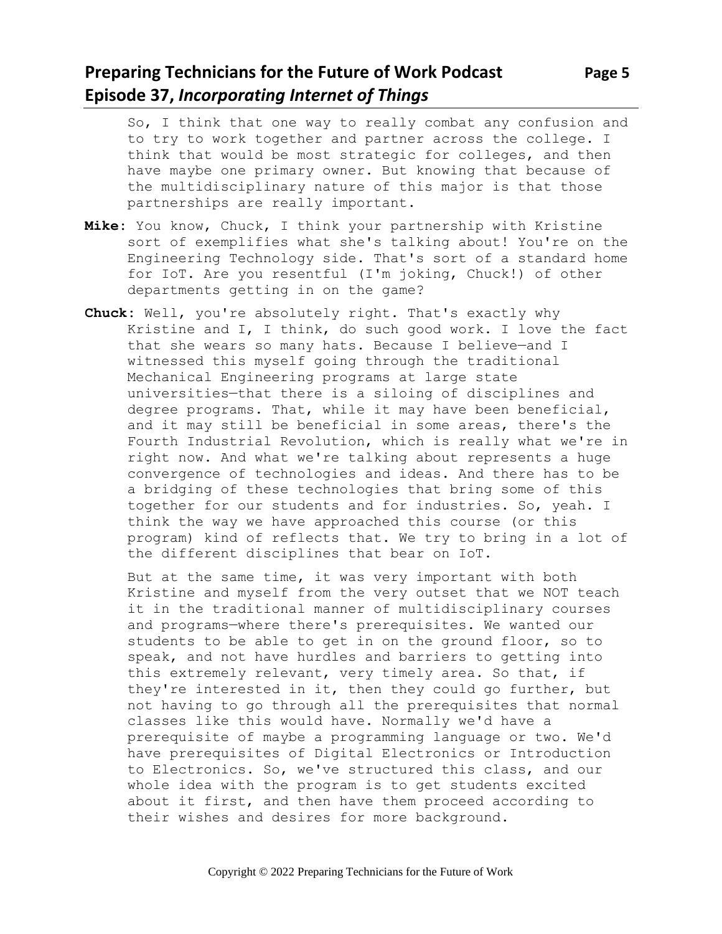### **Preparing Technicians for the Future of Work Podcast Page 5 Episode 37,** *Incorporating Internet of Things*

So, I think that one way to really combat any confusion and to try to work together and partner across the college. I think that would be most strategic for colleges, and then have maybe one primary owner. But knowing that because of the multidisciplinary nature of this major is that those partnerships are really important.

- **Mike:** You know, Chuck, I think your partnership with Kristine sort of exemplifies what she's talking about! You're on the Engineering Technology side. That's sort of a standard home for IoT. Are you resentful (I'm joking, Chuck!) of other departments getting in on the game?
- **Chuck:** Well, you're absolutely right. That's exactly why Kristine and I, I think, do such good work. I love the fact that she wears so many hats. Because I believe—and I witnessed this myself going through the traditional Mechanical Engineering programs at large state universities—that there is a siloing of disciplines and degree programs. That, while it may have been beneficial, and it may still be beneficial in some areas, there's the Fourth Industrial Revolution, which is really what we're in right now. And what we're talking about represents a huge convergence of technologies and ideas. And there has to be a bridging of these technologies that bring some of this together for our students and for industries. So, yeah. I think the way we have approached this course (or this program) kind of reflects that. We try to bring in a lot of the different disciplines that bear on IoT.

But at the same time, it was very important with both Kristine and myself from the very outset that we NOT teach it in the traditional manner of multidisciplinary courses and programs—where there's prerequisites. We wanted our students to be able to get in on the ground floor, so to speak, and not have hurdles and barriers to getting into this extremely relevant, very timely area. So that, if they're interested in it, then they could go further, but not having to go through all the prerequisites that normal classes like this would have. Normally we'd have a prerequisite of maybe a programming language or two. We'd have prerequisites of Digital Electronics or Introduction to Electronics. So, we've structured this class, and our whole idea with the program is to get students excited about it first, and then have them proceed according to their wishes and desires for more background.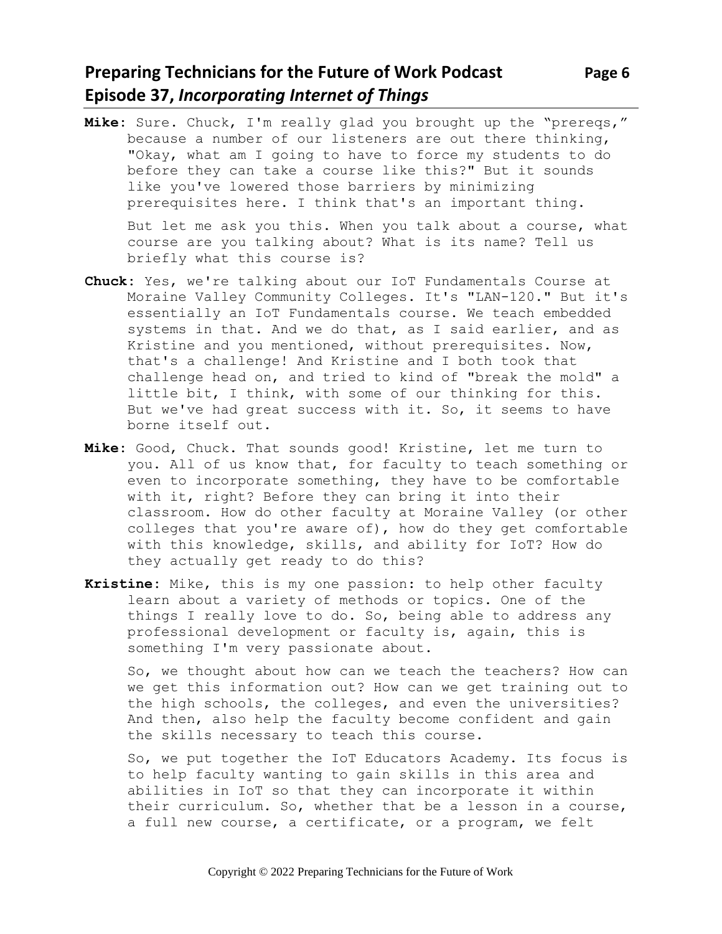# **Preparing Technicians for the Future of Work Podcast** Page 6 **Episode 37,** *Incorporating Internet of Things*

**Mike:** Sure. Chuck, I'm really glad you brought up the "prereqs," because a number of our listeners are out there thinking, "Okay, what am I going to have to force my students to do before they can take a course like this?" But it sounds like you've lowered those barriers by minimizing prerequisites here. I think that's an important thing.

But let me ask you this. When you talk about a course, what course are you talking about? What is its name? Tell us briefly what this course is?

- **Chuck:** Yes, we're talking about our IoT Fundamentals Course at Moraine Valley Community Colleges. It's "LAN-120." But it's essentially an IoT Fundamentals course. We teach embedded systems in that. And we do that, as I said earlier, and as Kristine and you mentioned, without prerequisites. Now, that's a challenge! And Kristine and I both took that challenge head on, and tried to kind of "break the mold" a little bit, I think, with some of our thinking for this. But we've had great success with it. So, it seems to have borne itself out.
- **Mike:** Good, Chuck. That sounds good! Kristine, let me turn to you. All of us know that, for faculty to teach something or even to incorporate something, they have to be comfortable with it, right? Before they can bring it into their classroom. How do other faculty at Moraine Valley (or other colleges that you're aware of), how do they get comfortable with this knowledge, skills, and ability for IoT? How do they actually get ready to do this?
- **Kristine:** Mike, this is my one passion: to help other faculty learn about a variety of methods or topics. One of the things I really love to do. So, being able to address any professional development or faculty is, again, this is something I'm very passionate about.

So, we thought about how can we teach the teachers? How can we get this information out? How can we get training out to the high schools, the colleges, and even the universities? And then, also help the faculty become confident and gain the skills necessary to teach this course.

So, we put together the IoT Educators Academy. Its focus is to help faculty wanting to gain skills in this area and abilities in IoT so that they can incorporate it within their curriculum. So, whether that be a lesson in a course, a full new course, a certificate, or a program, we felt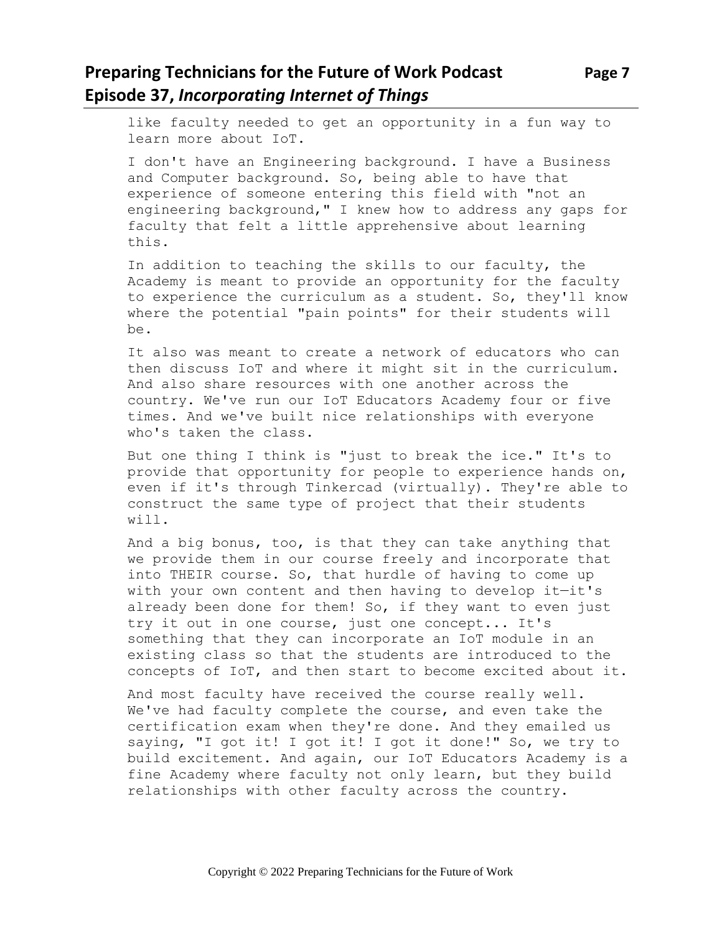# **Preparing Technicians for the Future of Work Podcast Page 7 Episode 37,** *Incorporating Internet of Things*

like faculty needed to get an opportunity in a fun way to learn more about IoT.

I don't have an Engineering background. I have a Business and Computer background. So, being able to have that experience of someone entering this field with "not an engineering background," I knew how to address any gaps for faculty that felt a little apprehensive about learning this.

In addition to teaching the skills to our faculty, the Academy is meant to provide an opportunity for the faculty to experience the curriculum as a student. So, they'll know where the potential "pain points" for their students will be.

It also was meant to create a network of educators who can then discuss IoT and where it might sit in the curriculum. And also share resources with one another across the country. We've run our IoT Educators Academy four or five times. And we've built nice relationships with everyone who's taken the class.

But one thing I think is "just to break the ice." It's to provide that opportunity for people to experience hands on, even if it's through Tinkercad (virtually). They're able to construct the same type of project that their students will.

And a big bonus, too, is that they can take anything that we provide them in our course freely and incorporate that into THEIR course. So, that hurdle of having to come up with your own content and then having to develop it-it's already been done for them! So, if they want to even just try it out in one course, just one concept... It's something that they can incorporate an IoT module in an existing class so that the students are introduced to the concepts of IoT, and then start to become excited about it.

And most faculty have received the course really well. We've had faculty complete the course, and even take the certification exam when they're done. And they emailed us saying, "I got it! I got it! I got it done!" So, we try to build excitement. And again, our IoT Educators Academy is a fine Academy where faculty not only learn, but they build relationships with other faculty across the country.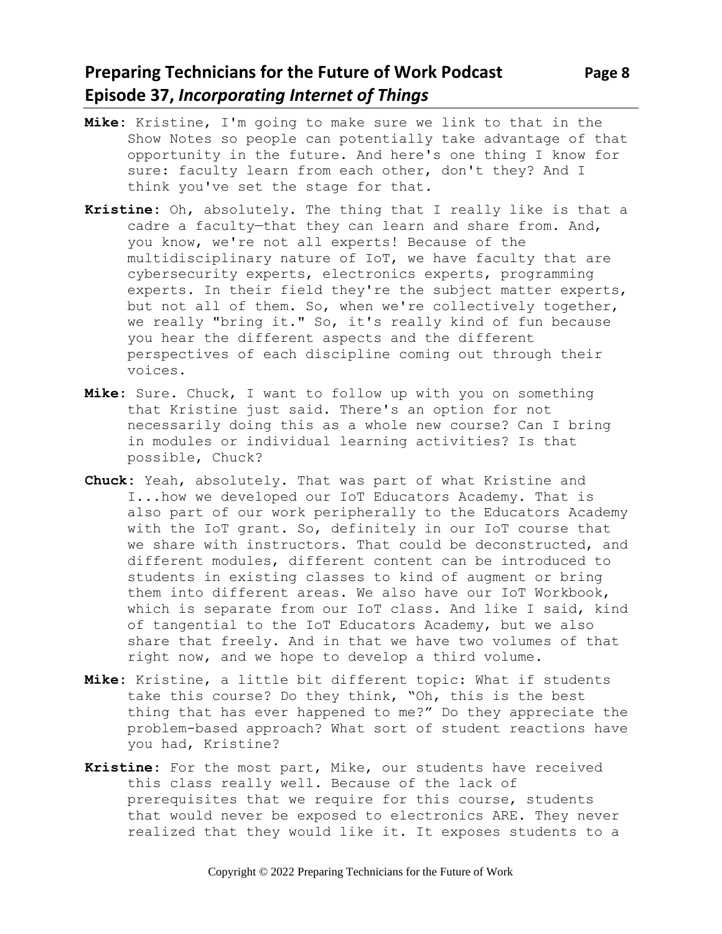### **Preparing Technicians for the Future of Work Podcast** Page 8 **Episode 37,** *Incorporating Internet of Things*

- **Mike:** Kristine, I'm going to make sure we link to that in the Show Notes so people can potentially take advantage of that opportunity in the future. And here's one thing I know for sure: faculty learn from each other, don't they? And I think you've set the stage for that.
- **Kristine:** Oh, absolutely. The thing that I really like is that a cadre a faculty—that they can learn and share from. And, you know, we're not all experts! Because of the multidisciplinary nature of IoT, we have faculty that are cybersecurity experts, electronics experts, programming experts. In their field they're the subject matter experts, but not all of them. So, when we're collectively together, we really "bring it." So, it's really kind of fun because you hear the different aspects and the different perspectives of each discipline coming out through their voices.
- **Mike:** Sure. Chuck, I want to follow up with you on something that Kristine just said. There's an option for not necessarily doing this as a whole new course? Can I bring in modules or individual learning activities? Is that possible, Chuck?
- **Chuck:** Yeah, absolutely. That was part of what Kristine and I...how we developed our IoT Educators Academy. That is also part of our work peripherally to the Educators Academy with the IoT grant. So, definitely in our IoT course that we share with instructors. That could be deconstructed, and different modules, different content can be introduced to students in existing classes to kind of augment or bring them into different areas. We also have our IoT Workbook, which is separate from our IoT class. And like I said, kind of tangential to the IoT Educators Academy, but we also share that freely. And in that we have two volumes of that right now, and we hope to develop a third volume.
- **Mike:** Kristine, a little bit different topic: What if students take this course? Do they think, "Oh, this is the best thing that has ever happened to me?" Do they appreciate the problem-based approach? What sort of student reactions have you had, Kristine?
- **Kristine:** For the most part, Mike, our students have received this class really well. Because of the lack of prerequisites that we require for this course, students that would never be exposed to electronics ARE. They never realized that they would like it. It exposes students to a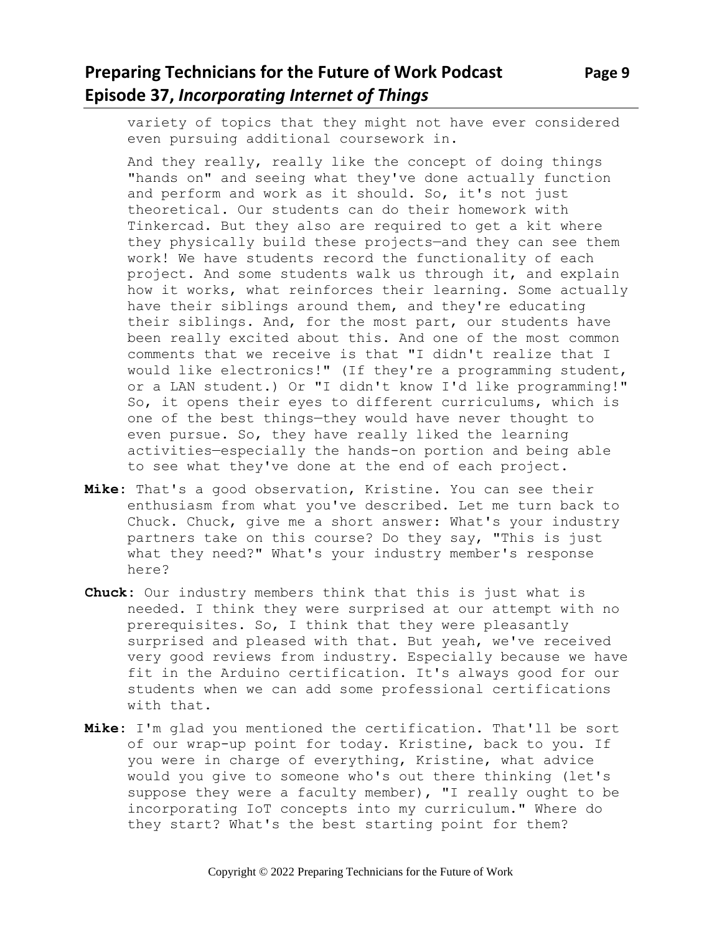# **Preparing Technicians for the Future of Work Podcast** Page 9 **Episode 37,** *Incorporating Internet of Things*

variety of topics that they might not have ever considered even pursuing additional coursework in.

And they really, really like the concept of doing things "hands on" and seeing what they've done actually function and perform and work as it should. So, it's not just theoretical. Our students can do their homework with Tinkercad. But they also are required to get a kit where they physically build these projects—and they can see them work! We have students record the functionality of each project. And some students walk us through it, and explain how it works, what reinforces their learning. Some actually have their siblings around them, and they're educating their siblings. And, for the most part, our students have been really excited about this. And one of the most common comments that we receive is that "I didn't realize that I would like electronics!" (If they're a programming student, or a LAN student.) Or "I didn't know I'd like programming!" So, it opens their eyes to different curriculums, which is one of the best things—they would have never thought to even pursue. So, they have really liked the learning activities—especially the hands-on portion and being able to see what they've done at the end of each project.

- **Mike:** That's a good observation, Kristine. You can see their enthusiasm from what you've described. Let me turn back to Chuck. Chuck, give me a short answer: What's your industry partners take on this course? Do they say, "This is just what they need?" What's your industry member's response here?
- **Chuck:** Our industry members think that this is just what is needed. I think they were surprised at our attempt with no prerequisites. So, I think that they were pleasantly surprised and pleased with that. But yeah, we've received very good reviews from industry. Especially because we have fit in the Arduino certification. It's always good for our students when we can add some professional certifications with that.
- **Mike:** I'm glad you mentioned the certification. That'll be sort of our wrap-up point for today. Kristine, back to you. If you were in charge of everything, Kristine, what advice would you give to someone who's out there thinking (let's suppose they were a faculty member), "I really ought to be incorporating IoT concepts into my curriculum." Where do they start? What's the best starting point for them?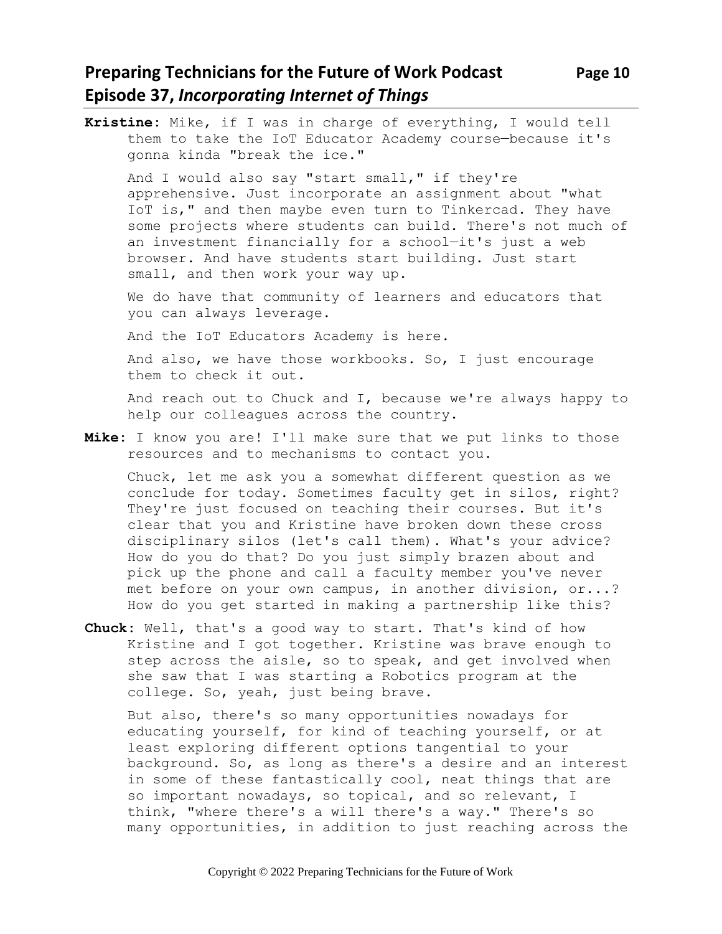# **Preparing Technicians for the Future of Work Podcast Page 10 Episode 37,** *Incorporating Internet of Things*

**Kristine:** Mike, if I was in charge of everything, I would tell them to take the IoT Educator Academy course—because it's gonna kinda "break the ice." And I would also say "start small," if they're apprehensive. Just incorporate an assignment about "what IoT is," and then maybe even turn to Tinkercad. They have some projects where students can build. There's not much of an investment financially for a school—it's just a web browser. And have students start building. Just start small, and then work your way up. We do have that community of learners and educators that you can always leverage. And the IoT Educators Academy is here. And also, we have those workbooks. So, I just encourage them to check it out. And reach out to Chuck and I, because we're always happy to help our colleagues across the country. **Mike:** I know you are! I'll make sure that we put links to those

resources and to mechanisms to contact you.

Chuck, let me ask you a somewhat different question as we conclude for today. Sometimes faculty get in silos, right? They're just focused on teaching their courses. But it's clear that you and Kristine have broken down these cross disciplinary silos (let's call them). What's your advice? How do you do that? Do you just simply brazen about and pick up the phone and call a faculty member you've never met before on your own campus, in another division, or...? How do you get started in making a partnership like this?

**Chuck:** Well, that's a good way to start. That's kind of how Kristine and I got together. Kristine was brave enough to step across the aisle, so to speak, and get involved when she saw that I was starting a Robotics program at the college. So, yeah, just being brave.

But also, there's so many opportunities nowadays for educating yourself, for kind of teaching yourself, or at least exploring different options tangential to your background. So, as long as there's a desire and an interest in some of these fantastically cool, neat things that are so important nowadays, so topical, and so relevant, I think, "where there's a will there's a way." There's so many opportunities, in addition to just reaching across the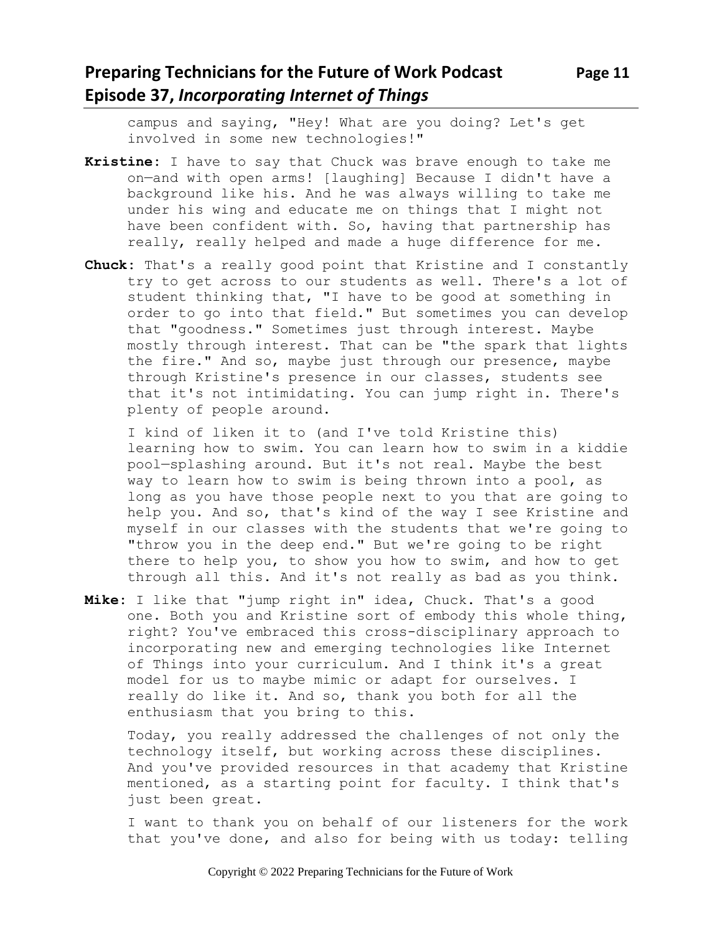# **Preparing Technicians for the Future of Work Podcast Page 11 Episode 37,** *Incorporating Internet of Things*

campus and saying, "Hey! What are you doing? Let's get involved in some new technologies!"

- **Kristine:** I have to say that Chuck was brave enough to take me on—and with open arms! [laughing] Because I didn't have a background like his. And he was always willing to take me under his wing and educate me on things that I might not have been confident with. So, having that partnership has really, really helped and made a huge difference for me.
- **Chuck:** That's a really good point that Kristine and I constantly try to get across to our students as well. There's a lot of student thinking that, "I have to be good at something in order to go into that field." But sometimes you can develop that "goodness." Sometimes just through interest. Maybe mostly through interest. That can be "the spark that lights the fire." And so, maybe just through our presence, maybe through Kristine's presence in our classes, students see that it's not intimidating. You can jump right in. There's plenty of people around.

I kind of liken it to (and I've told Kristine this) learning how to swim. You can learn how to swim in a kiddie pool—splashing around. But it's not real. Maybe the best way to learn how to swim is being thrown into a pool, as long as you have those people next to you that are going to help you. And so, that's kind of the way I see Kristine and myself in our classes with the students that we're going to "throw you in the deep end." But we're going to be right there to help you, to show you how to swim, and how to get through all this. And it's not really as bad as you think.

**Mike:** I like that "jump right in" idea, Chuck. That's a good one. Both you and Kristine sort of embody this whole thing, right? You've embraced this cross-disciplinary approach to incorporating new and emerging technologies like Internet of Things into your curriculum. And I think it's a great model for us to maybe mimic or adapt for ourselves. I really do like it. And so, thank you both for all the enthusiasm that you bring to this.

Today, you really addressed the challenges of not only the technology itself, but working across these disciplines. And you've provided resources in that academy that Kristine mentioned, as a starting point for faculty. I think that's just been great.

I want to thank you on behalf of our listeners for the work that you've done, and also for being with us today: telling